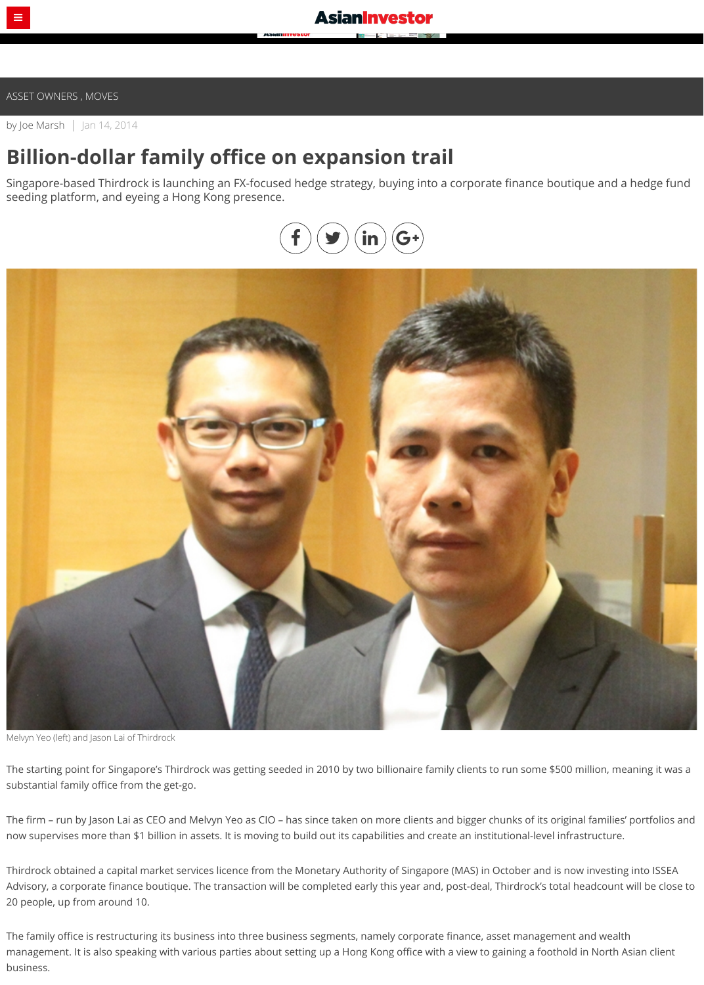by [Joe Marsh](https://www.asianinvestor.net/author/joe-marsh-3/219244) | Jan 14, 2014

## **Billion-dollar family office on expansion trail**

Singapore-based Thirdrock is launching an FX-focused hedge strategy, buying into a corporate finance boutique and a hedge fund seeding platform, and eyeing a Hong Kong presence.



Melvyn Yeo (left) and Jason Lai of Thirdrock

The starting point for Singapore's Thirdrock was getting seeded in 2010 by two billionaire family clients to run some \$500 million, meaning it was a substantial family office from the get-go.

The firm – run by Jason Lai as CEO and Melvyn Yeo as CIO – has since taken on more clients and bigger chunks of its original families' portfolios and now supervises more than \$1 billion in assets. It is moving to build out its capabilities and create an institutional-level infrastructure.

Thirdrock obtained a capital market services licence from the Monetary Authority of Singapore (MAS) in October and is now investing into ISSEA Advisory, a corporate finance boutique. The transaction will be completed early this year and, post-deal, Thirdrock's total headcount will be close to 20 people, up from around 10.

The family office is restructuring its business into three business segments, namely corporate finance, asset management and wealth management. It is also speaking with various parties about setting up a Hong Kong office with a view to gaining a foothold in North Asian client business.